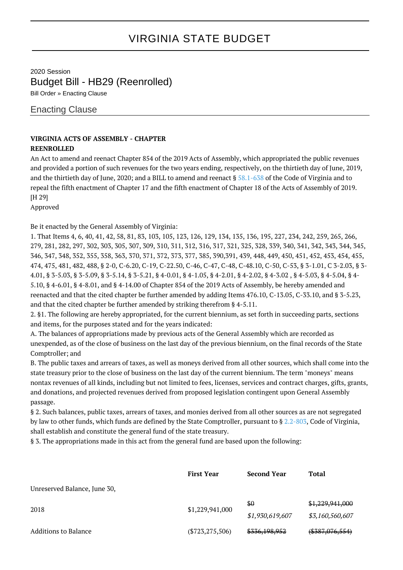## VIRGINIA STATE BUDGET

2020 Session Budget Bill - HB29 (Reenrolled) Bill Order » Enacting Clause

## Enacting Clause

## **VIRGINIA ACTS OF ASSEMBLY - CHAPTER**

## **REENROLLED**

An Act to amend and reenact Chapter 854 of the 2019 Acts of Assembly, which appropriated the public revenues and provided a portion of such revenues for the two years ending, respectively, on the thirtieth day of June, 2019, and the thirtieth day of June, 2020; and a BILL to amend and reenact § [58.1-638](http://law.lis.virginia.gov/vacode/58.1-638/) of the Code of Virginia and to repeal the fifth enactment of Chapter 17 and the fifth enactment of Chapter 18 of the Acts of Assembly of 2019. [H 29]

Approved

Be it enacted by the General Assembly of Virginia:

1. That Items 4, 6, 40, 41, 42, 58, 81, 83, 103, 105, 123, 126, 129, 134, 135, 136, 195, 227, 234, 242, 259, 265, 266, 279, 281, 282, 297, 302, 303, 305, 307, 309, 310, 311, 312, 316, 317, 321, 325, 328, 339, 340, 341, 342, 343, 344, 345, 346, 347, 348, 352, 355, 358, 363, 370, 371, 372, 373, 377, 385, 390,391, 439, 448, 449, 450, 451, 452, 453, 454, 455, 474, 475, 481, 482, 488, § 2-0, C-6.20, C-19, C-22.50, C-46, C-47, C-48, C-48.10, C-50, C-53, § 3-1.01, C 3-2.03, § 3- 4.01, § 3-5.03, § 3-5.09, § 3-5.14, § 3-5.21, § 4-0.01, § 4-1.05, § 4-2.01, § 4-2.02, § 4-3.02 , § 4-5.03, § 4-5.04, § 4- 5.10, § 4-6.01, § 4-8.01, and § 4-14.00 of Chapter 854 of the 2019 Acts of Assembly, be hereby amended and reenacted and that the cited chapter be further amended by adding Items 476.10, C-13.05, C-33.10, and § 3-5.23, and that the cited chapter be further amended by striking therefrom § 4-5.11.

2. §1. The following are hereby appropriated, for the current biennium, as set forth in succeeding parts, sections and items, for the purposes stated and for the years indicated:

A. The balances of appropriations made by previous acts of the General Assembly which are recorded as unexpended, as of the close of business on the last day of the previous biennium, on the final records of the State Comptroller; and

B. The public taxes and arrears of taxes, as well as moneys derived from all other sources, which shall come into the state treasury prior to the close of business on the last day of the current biennium. The term "moneys" means nontax revenues of all kinds, including but not limited to fees, licenses, services and contract charges, gifts, grants, and donations, and projected revenues derived from proposed legislation contingent upon General Assembly passage.

§ 2. Such balances, public taxes, arrears of taxes, and monies derived from all other sources as are not segregated by law to other funds, which funds are defined by the State Comptroller, pursuant to § [2.2-803,](http://law.lis.virginia.gov/vacode/2.2-803/) Code of Virginia, shall establish and constitute the general fund of the state treasury.

§ 3. The appropriations made in this act from the general fund are based upon the following:

|                              | <b>First Year</b>   | <b>Second Year</b>       | Total            |
|------------------------------|---------------------|--------------------------|------------------|
| Unreserved Balance, June 30, |                     |                          |                  |
| 2018                         | \$1,229,941,000     | \$0                      | \$1,229,941,000  |
|                              |                     | \$1,930,619,607          | \$3,160,560,607  |
| Additions to Balance         | $(\$723, 275, 506)$ | <del>\$336,198,952</del> | $(*387,076,554)$ |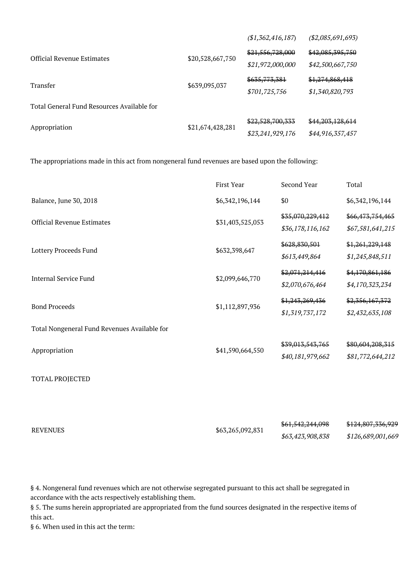|                                            |                  | (\$1,362,416,187)        | ( \$2,085,691,693) |
|--------------------------------------------|------------------|--------------------------|--------------------|
| <b>Official Revenue Estimates</b>          | \$20,528,667,750 | \$21,556,728,000         | \$42,085,395,750   |
|                                            |                  | \$21,972,000,000         | \$42,500,667,750   |
| Transfer                                   | \$639,095,037    | <del>\$635,773,381</del> | \$1,274,868,418    |
|                                            |                  | \$701,725,756            | \$1,340,820,793    |
| Total General Fund Resources Available for |                  |                          |                    |
| Appropriation                              | \$21,674,428,281 | \$22,528,700,333         | \$44,203,128,614   |
|                                            |                  | \$23,241,929,176         | \$44,916,357,457   |

The appropriations made in this act from nongeneral fund revenues are based upon the following:

| Balance, June 30, 2018<br>\$6,342,196,144<br>\$0<br>\$6,342,196,144<br>\$35,070,229,412<br>\$66,473,754,465<br><b>Official Revenue Estimates</b><br>\$31,403,525,053<br>\$67,581,641,215<br>\$36,178,116,162<br>\$628,830,501<br>\$1,261,229,148<br>Lottery Proceeds Fund<br>\$632,398,647<br>\$613,449,864<br>\$1,245,848,511<br>\$4,170,861,186<br>\$2,071,214,416<br><b>Internal Service Fund</b><br>\$2,099,646,770<br>\$2,070,676,464<br>\$4,170,323,234<br>\$2,356,167,372<br>\$1,243,269,436<br><b>Bond Proceeds</b><br>\$1,112,897,936<br>\$1,319,737,172<br>\$2,432,635,108<br>Total Nongeneral Fund Revenues Available for<br>\$39,013,543,765<br>\$80,604,208,315<br>\$41,590,664,550<br>Appropriation<br>\$40,181,979,662<br>\$81,772,644,212<br><b>TOTAL PROJECTED</b><br>\$61,542,244,098<br>\$124,807,336,929<br><b>REVENUES</b><br>\$63,265,092,831 | First Year | Second Year      | Total             |
|---------------------------------------------------------------------------------------------------------------------------------------------------------------------------------------------------------------------------------------------------------------------------------------------------------------------------------------------------------------------------------------------------------------------------------------------------------------------------------------------------------------------------------------------------------------------------------------------------------------------------------------------------------------------------------------------------------------------------------------------------------------------------------------------------------------------------------------------------------------------|------------|------------------|-------------------|
|                                                                                                                                                                                                                                                                                                                                                                                                                                                                                                                                                                                                                                                                                                                                                                                                                                                                     |            |                  |                   |
|                                                                                                                                                                                                                                                                                                                                                                                                                                                                                                                                                                                                                                                                                                                                                                                                                                                                     |            |                  |                   |
|                                                                                                                                                                                                                                                                                                                                                                                                                                                                                                                                                                                                                                                                                                                                                                                                                                                                     |            |                  |                   |
|                                                                                                                                                                                                                                                                                                                                                                                                                                                                                                                                                                                                                                                                                                                                                                                                                                                                     |            |                  |                   |
|                                                                                                                                                                                                                                                                                                                                                                                                                                                                                                                                                                                                                                                                                                                                                                                                                                                                     |            |                  |                   |
|                                                                                                                                                                                                                                                                                                                                                                                                                                                                                                                                                                                                                                                                                                                                                                                                                                                                     |            |                  |                   |
|                                                                                                                                                                                                                                                                                                                                                                                                                                                                                                                                                                                                                                                                                                                                                                                                                                                                     |            |                  |                   |
|                                                                                                                                                                                                                                                                                                                                                                                                                                                                                                                                                                                                                                                                                                                                                                                                                                                                     |            |                  |                   |
|                                                                                                                                                                                                                                                                                                                                                                                                                                                                                                                                                                                                                                                                                                                                                                                                                                                                     |            |                  |                   |
|                                                                                                                                                                                                                                                                                                                                                                                                                                                                                                                                                                                                                                                                                                                                                                                                                                                                     |            |                  |                   |
|                                                                                                                                                                                                                                                                                                                                                                                                                                                                                                                                                                                                                                                                                                                                                                                                                                                                     |            |                  |                   |
|                                                                                                                                                                                                                                                                                                                                                                                                                                                                                                                                                                                                                                                                                                                                                                                                                                                                     |            |                  |                   |
|                                                                                                                                                                                                                                                                                                                                                                                                                                                                                                                                                                                                                                                                                                                                                                                                                                                                     |            |                  |                   |
|                                                                                                                                                                                                                                                                                                                                                                                                                                                                                                                                                                                                                                                                                                                                                                                                                                                                     |            |                  |                   |
|                                                                                                                                                                                                                                                                                                                                                                                                                                                                                                                                                                                                                                                                                                                                                                                                                                                                     |            |                  |                   |
|                                                                                                                                                                                                                                                                                                                                                                                                                                                                                                                                                                                                                                                                                                                                                                                                                                                                     |            | \$63,423,908,838 | \$126,689,001,669 |

§ 4. Nongeneral fund revenues which are not otherwise segregated pursuant to this act shall be segregated in accordance with the acts respectively establishing them.

§ 5. The sums herein appropriated are appropriated from the fund sources designated in the respective items of this act.

§ 6. When used in this act the term: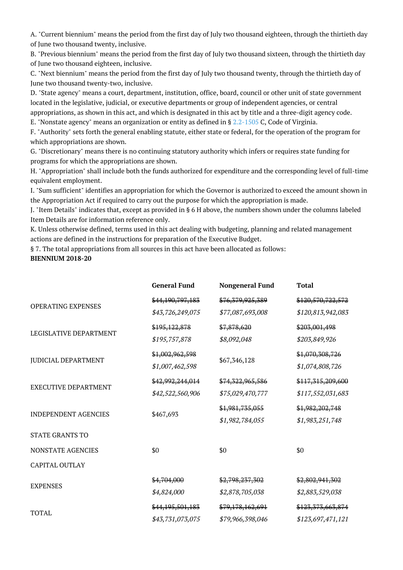A. "Current biennium" means the period from the first day of July two thousand eighteen, through the thirtieth day of June two thousand twenty, inclusive.

B. "Previous biennium" means the period from the first day of July two thousand sixteen, through the thirtieth day of June two thousand eighteen, inclusive.

C. "Next biennium" means the period from the first day of July two thousand twenty, through the thirtieth day of June two thousand twenty-two, inclusive.

D. "State agency" means a court, department, institution, office, board, council or other unit of state government located in the legislative, judicial, or executive departments or group of independent agencies, or central appropriations, as shown in this act, and which is designated in this act by title and a three-digit agency code.

E. "Nonstate agency" means an organization or entity as defined in § [2.2-1505](http://law.lis.virginia.gov/vacode/2.2-1505/) C, Code of Virginia.

F. "Authority" sets forth the general enabling statute, either state or federal, for the operation of the program for which appropriations are shown.

G. "Discretionary" means there is no continuing statutory authority which infers or requires state funding for programs for which the appropriations are shown.

H. "Appropriation" shall include both the funds authorized for expenditure and the corresponding level of full-time equivalent employment.

I. "Sum sufficient" identifies an appropriation for which the Governor is authorized to exceed the amount shown in the Appropriation Act if required to carry out the purpose for which the appropriation is made.

J. "Item Details" indicates that, except as provided in § 6 H above, the numbers shown under the columns labeled Item Details are for information reference only.

K. Unless otherwise defined, terms used in this act dealing with budgeting, planning and related management actions are defined in the instructions for preparation of the Executive Budget.

§ 7. The total appropriations from all sources in this act have been allocated as follows: **BIENNIUM 2018-20**

|                             | <b>General Fund</b> | <b>Nongeneral Fund</b> | <b>Total</b>      |
|-----------------------------|---------------------|------------------------|-------------------|
| <b>OPERATING EXPENSES</b>   | \$44,190,797,183    | \$76,379,925,389       | \$120,570,722,572 |
|                             | \$43,726,249,075    | \$77,087,693,008       | \$120,813,942,083 |
| LEGISLATIVE DEPARTMENT      | \$195,122,878       | \$7,878,620            | \$203,001,498     |
|                             | \$195,757,878       | \$8,092,048            | \$203,849,926     |
| <b>JUDICIAL DEPARTMENT</b>  | \$1,002,962,598     | \$67,346,128           | \$1,070,308,726   |
|                             | \$1,007,462,598     |                        | \$1,074,808,726   |
| <b>EXECUTIVE DEPARTMENT</b> | \$42,992,244,014    | \$74,322,965,586       | \$117,315,209,600 |
|                             | \$42,522,560,906    | \$75,029,470,777       | \$117,552,031,683 |
| <b>INDEPENDENT AGENCIES</b> | \$467,693           | \$1,981,735,055        | \$1,982,202,748   |
|                             |                     | \$1,982,784,055        | \$1,983,251,748   |
| <b>STATE GRANTS TO</b>      |                     |                        |                   |
| <b>NONSTATE AGENCIES</b>    | \$0                 | \$0                    | \$0               |
| <b>CAPITAL OUTLAY</b>       |                     |                        |                   |
| <b>EXPENSES</b>             | \$4,704,000         | \$2,798,237,302        | \$2,802,941,302   |
|                             | \$4,824,000         | \$2,878,705,038        | \$2,883,529,038   |
| <b>TOTAL</b>                | \$44,195,501,183    | \$79,178,162,691       | \$123,373,663,874 |
|                             | \$43,731,073,075    | \$79,966,398,046       | \$123,697,471,121 |